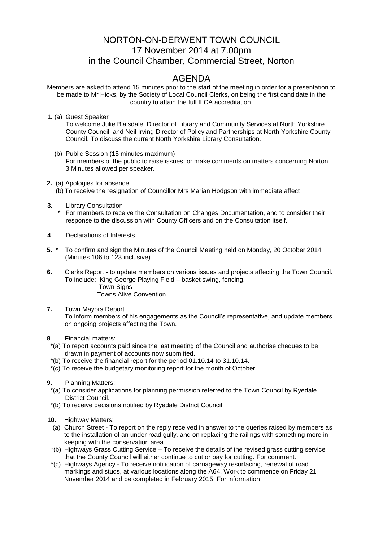## NORTON-ON-DERWENT TOWN COUNCIL 17 November 2014 at 7.00pm in the Council Chamber, Commercial Street, Norton

## AGENDA

Members are asked to attend 15 minutes prior to the start of the meeting in order for a presentation to be made to Mr Hicks, by the Society of Local Council Clerks, on being the first candidate in the country to attain the full ILCA accreditation.

**1.** (a) Guest Speaker

To welcome Julie Blaisdale, Director of Library and Community Services at North Yorkshire County Council, and Neil Irving Director of Policy and Partnerships at North Yorkshire County Council. To discuss the current North Yorkshire Library Consultation.

- (b) Public Session (15 minutes maximum) For members of the public to raise issues, or make comments on matters concerning Norton. 3 Minutes allowed per speaker.
- **2.** (a) Apologies for absence (b) To receive the resignation of Councillor Mrs Marian Hodgson with immediate affect
- **3.** Library Consultation
	- For members to receive the Consultation on Changes Documentation, and to consider their response to the discussion with County Officers and on the Consultation itself.
- **4**. Declarations of Interests.
- **5.** \* To confirm and sign the Minutes of the Council Meeting held on Monday, 20 October 2014 (Minutes 106 to 123 inclusive).
- **6.** Clerks Report to update members on various issues and projects affecting the Town Council. To include: King George Playing Field – basket swing, fencing. Town Signs Towns Alive Convention
- **7.** Town Mayors Report To inform members of his engagements as the Council's representative, and update members on ongoing projects affecting the Town.
- **8**. Financial matters:
- \*(a) To report accounts paid since the last meeting of the Council and authorise cheques to be drawn in payment of accounts now submitted.
- \*(b) To receive the financial report for the period 01.10.14 to 31.10.14.
- \*(c) To receive the budgetary monitoring report for the month of October.
- **9.** Planning Matters:
	- \*(a) To consider applications for planning permission referred to the Town Council by Ryedale District Council.
	- \*(b) To receive decisions notified by Ryedale District Council.
- **10.** Highway Matters:
	- (a) Church Street To report on the reply received in answer to the queries raised by members as to the installation of an under road gully, and on replacing the railings with something more in keeping with the conservation area.
	- \*(b) Highways Grass Cutting Service To receive the details of the revised grass cutting service that the County Council will either continue to cut or pay for cutting. For comment.
	- \*(c) Highways Agency To receive notification of carriageway resurfacing, renewal of road markings and studs, at various locations along the A64. Work to commence on Friday 21 November 2014 and be completed in February 2015. For information